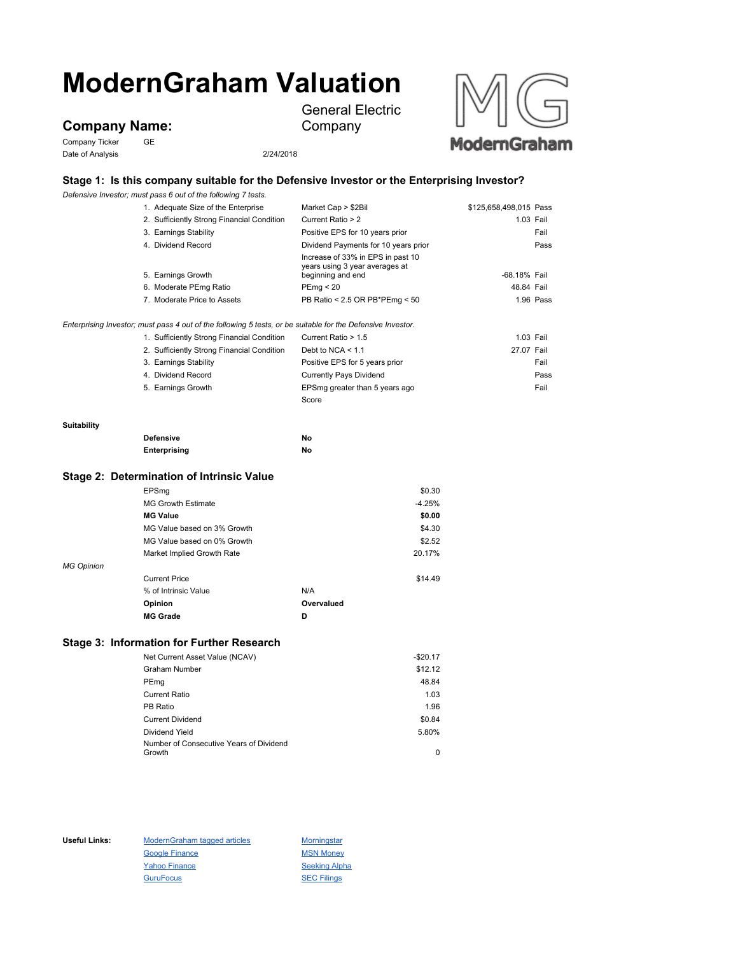# **ModernGraham Valuation**

**Company Name:**

Company Ticker GE Date of Analysis 2/24/2018



## **Stage 1: Is this company suitable for the Defensive Investor or the Enterprising Investor?**

General Electric

Company

*Defensive Investor; must pass 6 out of the following 7 tests.*

|             | 1. Adequate Size of the Enterprise                                                                          | Market Cap > \$2Bil                                                                      | \$125,658,498,015 Pass |           |
|-------------|-------------------------------------------------------------------------------------------------------------|------------------------------------------------------------------------------------------|------------------------|-----------|
|             | 2. Sufficiently Strong Financial Condition                                                                  | Current Ratio > 2                                                                        |                        | 1.03 Fail |
|             | 3. Earnings Stability                                                                                       | Positive EPS for 10 years prior                                                          |                        | Fail      |
|             | 4. Dividend Record                                                                                          | Dividend Payments for 10 years prior                                                     |                        | Pass      |
|             | 5. Earnings Growth                                                                                          | Increase of 33% in EPS in past 10<br>years using 3 year averages at<br>beginning and end | -68.18% Fail           |           |
|             | 6. Moderate PEmg Ratio                                                                                      | PEmq < 20                                                                                | 48.84 Fail             |           |
|             | 7. Moderate Price to Assets                                                                                 | PB Ratio < 2.5 OR PB*PEmg < 50                                                           |                        | 1.96 Pass |
|             |                                                                                                             |                                                                                          |                        |           |
|             | Enterprising Investor; must pass 4 out of the following 5 tests, or be suitable for the Defensive Investor. |                                                                                          |                        |           |
|             | 1. Sufficiently Strong Financial Condition                                                                  | Current Ratio > 1.5                                                                      | 1.03 Fail              |           |
|             | 2. Sufficiently Strong Financial Condition                                                                  | Debt to NCA $\leq 1.1$                                                                   | 27.07 Fail             |           |
|             | 3. Earnings Stability                                                                                       | Positive EPS for 5 years prior                                                           |                        | Fail      |
|             | 4. Dividend Record                                                                                          | <b>Currently Pays Dividend</b>                                                           |                        | Pass      |
|             | 5. Earnings Growth                                                                                          | EPSmg greater than 5 years ago                                                           |                        | Fail      |
|             |                                                                                                             | Score                                                                                    |                        |           |
| Suitability |                                                                                                             |                                                                                          |                        |           |
|             | <b>Defensive</b>                                                                                            | No                                                                                       |                        |           |
|             | Enterprising                                                                                                | No                                                                                       |                        |           |
|             | Stage 2: Determination of Intrinsic Value                                                                   |                                                                                          |                        |           |
|             | EPSma                                                                                                       | \$0.30                                                                                   |                        |           |
|             | <b>MG Growth Estimate</b>                                                                                   | $-4.25%$                                                                                 |                        |           |
|             | <b>MG Value</b>                                                                                             | \$0.00                                                                                   |                        |           |

|                   | Opinion                     | Overvalued |         |
|-------------------|-----------------------------|------------|---------|
|                   | % of Intrinsic Value        | N/A        |         |
|                   | <b>Current Price</b>        |            | \$14.49 |
| <b>MG Opinion</b> |                             |            |         |
|                   | Market Implied Growth Rate  |            | 20.17%  |
|                   | MG Value based on 0% Growth |            | \$2.52  |
|                   | MG Value based on 3% Growth |            | \$4.30  |

**MG Grade D**

### **Stage 3: Information for Further Research**

| Net Current Asset Value (NCAV)          | $-$20.17$ |
|-----------------------------------------|-----------|
| Graham Number                           | \$12.12   |
| PEmg                                    | 48.84     |
| <b>Current Ratio</b>                    | 1.03      |
| PB Ratio                                | 1.96      |
| <b>Current Dividend</b>                 | \$0.84    |
| Dividend Yield                          | 5.80%     |
| Number of Consecutive Years of Dividend |           |
| Growth                                  | 0         |

Useful Links: ModernGraham tagged articles Morningstar Google Finance MSN Money Yahoo Finance Seeking Alpha GuruFocus **SEC Filings**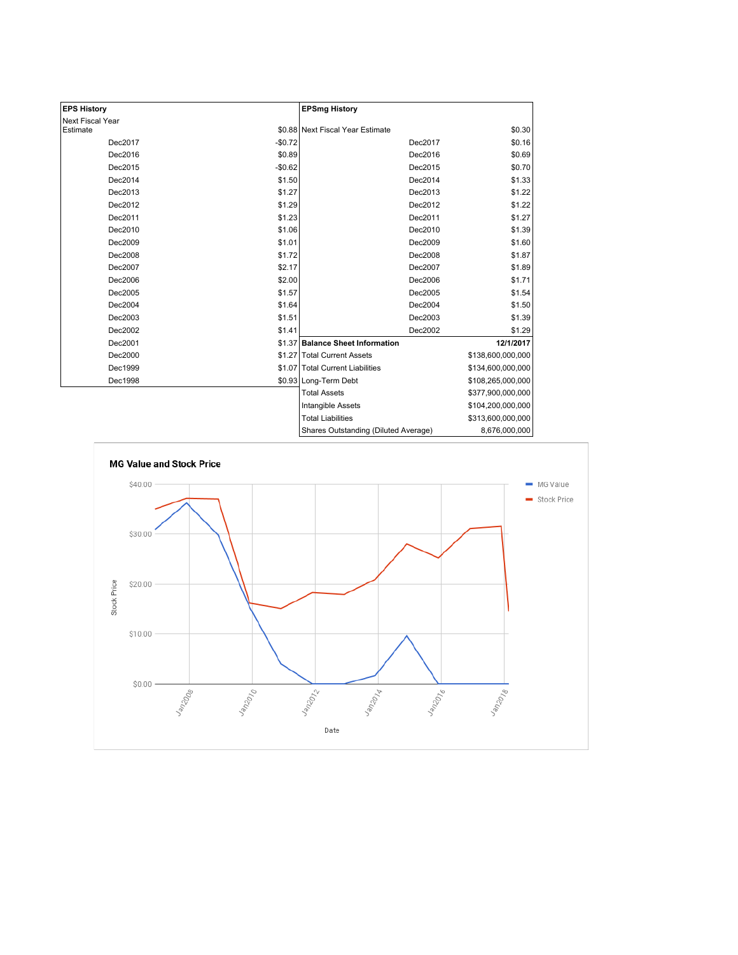| <b>EPS History</b> |          | <b>EPSmg History</b>                 |                   |
|--------------------|----------|--------------------------------------|-------------------|
| Next Fiscal Year   |          |                                      |                   |
| Estimate           |          | \$0.88 Next Fiscal Year Estimate     | \$0.30            |
| Dec2017            | $-$0.72$ | Dec2017                              | \$0.16            |
| Dec2016            | \$0.89   | Dec2016                              | \$0.69            |
| Dec2015            | $-$0.62$ | Dec2015                              | \$0.70            |
| Dec2014            | \$1.50   | Dec2014                              | \$1.33            |
| Dec2013            | \$1.27   | Dec2013                              | \$1.22            |
| Dec2012            | \$1.29   | Dec2012                              | \$1.22            |
| Dec2011            | \$1.23   | Dec2011                              | \$1.27            |
| Dec2010            | \$1.06   | Dec2010                              | \$1.39            |
| Dec2009            | \$1.01   | Dec2009                              | \$1.60            |
| Dec2008            | \$1.72   | Dec2008                              | \$1.87            |
| Dec2007            | \$2.17   | Dec2007                              | \$1.89            |
| Dec2006            | \$2.00   | Dec2006                              | \$1.71            |
| Dec2005            | \$1.57   | Dec2005                              | \$1.54            |
| Dec2004            | \$1.64   | Dec2004                              | \$1.50            |
| Dec2003            | \$1.51   | Dec2003                              | \$1.39            |
| Dec2002            | \$1.41   | Dec2002                              | \$1.29            |
| Dec2001            |          | \$1.37 Balance Sheet Information     | 12/1/2017         |
| Dec2000            |          | \$1.27 Total Current Assets          | \$138,600,000,000 |
| Dec1999            |          | \$1.07 Total Current Liabilities     | \$134,600,000,000 |
| Dec1998            |          | \$0.93 Long-Term Debt                | \$108,265,000,000 |
|                    |          | <b>Total Assets</b>                  | \$377,900,000,000 |
|                    |          | Intangible Assets                    | \$104,200,000,000 |
|                    |          | <b>Total Liabilities</b>             | \$313,600,000,000 |
|                    |          | Charge Outetanding (Diluted Average) | 8.676.000.000     |